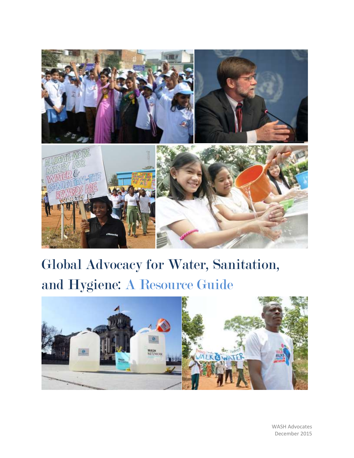

# Global Advocacy for Water, Sanitation, and Hygiene: A Resource Guide



WASH Advocates December 2015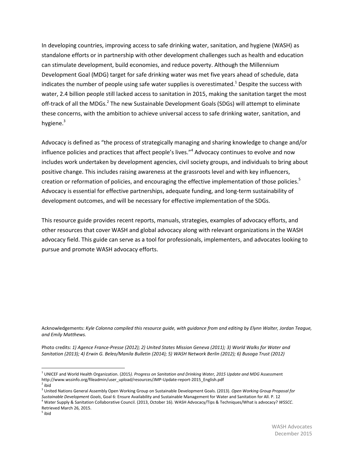In developing countries, improving access to safe drinking water, sanitation, and hygiene (WASH) as standalone efforts or in partnership with other development challenges such as health and education can stimulate development, build economies, and reduce poverty. Although the Millennium Development Goal (MDG) target for safe drinking water was met five years ahead of schedule, data indicates the number of people using safe water supplies is overestimated.<sup>1</sup> Despite the success with water, 2.4 billion people still lacked access to sanitation in 2015, making the sanitation target the most off-track of all the MDGs.<sup>2</sup> The new Sustainable Development Goals (SDGs) will attempt to eliminate these concerns, with the ambition to achieve universal access to safe drinking water, sanitation, and hygiene. $3$ 

Advocacy is defined as "the process of strategically managing and sharing knowledge to change and/or influence policies and practices that affect people's lives."<sup>4</sup> Advocacy continues to evolve and now includes work undertaken by development agencies, civil society groups, and individuals to bring about positive change. This includes raising awareness at the grassroots level and with key influencers, creation or reformation of policies, and encouraging the effective implementation of those policies.<sup>5</sup> Advocacy is essential for effective partnerships, adequate funding, and long-term sustainability of development outcomes, and will be necessary for effective implementation of the SDGs.

This resource guide provides recent reports, manuals, strategies, examples of advocacy efforts, and other resources that cover WASH and global advocacy along with relevant organizations in the WASH advocacy field. This guide can serve as a tool for professionals, implementers, and advocates looking to pursue and promote WASH advocacy efforts.

Acknowledgements: *Kyle Colonna compiled this resource guide, with guidance from and editing by Elynn Walter, Jordan Teague, and Emily Matthews.*

Photo credits: *1) Agence France-Presse (2012); 2) United States Mission Geneva (2011); 3) World Walks for Water and Sanitation (2013); 4) Erwin G. Beleo/Manila Bulletin (2014); 5) WASH Network Berlin (2012); 6) Busoga Trust (2012)*

l

<sup>&</sup>lt;sup>1</sup> UNICEF and World Health Organization. (2015*). Progress on Sanitation and Drinking Water, 2015 Update and MDG Assessment* http://www.wssinfo.org/fileadmin/user\_upload/resources/JMP-Update-report-2015\_English.pdf

<sup>&</sup>lt;sup>2</sup> ibid

<sup>3</sup> United Nations General Assembly Open Working Group on Sustainable Development Goals. (2013). *Open Working Group Proposal for Sustainable Development Goals*, Goal 6: Ensure Availability and Sustainable Management for Water and Sanitation for All. P. 12

<sup>4</sup> Water Supply & Sanitation Collaborative Council. (2013, October 16). WASH Advocacy/Tips & Techniques/What is advocacy? *WSSCC*. Retrieved March 26, 2015.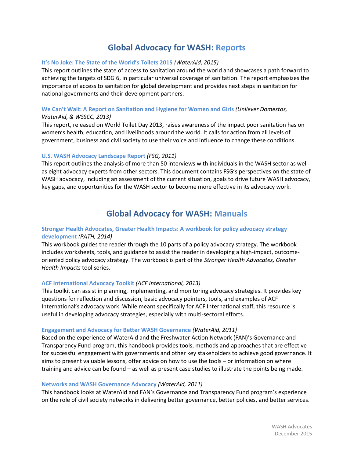## **Global Advocacy for WASH: Reports**

### **[It's No Joke: The State of the World's Toilets 2015](http://www.wateraid.org/~/media/Publications/Its_No_Joke_2015_the_state_of_the_worlds_toilets.pdf?la=en)** *(WaterAid, 2015)*

This report outlines the state of access to sanitation around the world and showcases a path forward to achieving the targets of SDG 6, in particular universal coverage of sanitation. The report emphasizes the importance of access to sanitation for global development and provides next steps in sanitation for national governments and their development partners.

### **[We Can't Wait: A Report on Sanitation and Hygiene for Women and Girls](http://worldtoilet.org/documents/WecantWait.pdf)** *(Unilever Domestos, WaterAid, & WSSCC, 2013)*

This report, released on World Toilet Day 2013, raises awareness of the impact poor sanitation has on women's health, education, and livelihoods around the world. It calls for action from all levels of government, business and civil society to use their voice and influence to change these conditions.

### **[U.S. WASH Advocacy Landscape Report](http://water.issuelab.org/resource/us_wash_advocacy_landscape_report)** *(FSG, 2011)*

This report outlines the analysis of more than 50 interviews with individuals in the WASH sector as well as eight advocacy experts from other sectors. This document contains FSG's perspectives on the state of WASH advocacy, including an assessment of the current situation, goals to drive future WASH advocacy, key gaps, and opportunities for the WASH sector to become more effective in its advocacy work.

### **Global Advocacy for WASH: Manuals**

### **[Stronger Health Advocates, Greater Health Impacts: A workbook for policy advocacy strategy](http://www.path.org/publications/files/ER_app_workshop_workbook.pdf)  [development](http://www.path.org/publications/files/ER_app_workshop_workbook.pdf)** *(PATH, 2014)*

This workbook guides the reader through the 10 parts of a policy advocacy strategy. The workbook includes worksheets, tools, and guidance to assist the reader in developing a high-impact, outcomeoriented policy advocacy strategy. The workbook is part of the *Stronger Health Advocates, Greater Health Impacts* tool series.

### **[ACF International Advocacy Toolkit](http://www.actioncontrelafaim.org/sites/default/files/publications/fichiers/acf-advocacy-toolkit_june_2013.pdf)** *(ACF International, 2013)*

This toolkit can assist in planning, implementing, and monitoring advocacy strategies. It provides key questions for reflection and discussion, basic advocacy pointers, tools, and examples of ACF International's advocacy work. While meant specifically for ACF International staff, this resource is useful in developing advocacy strategies, especially with multi-sectoral efforts.

### **[Engagement and Advocacy for Better WASH Governance](http://www.wateraid.org/~/media/Publications/Engagement-and-advocacy-for-better-WASH-governance.pdf)** *(WaterAid, 2011)*

Based on the experience of WaterAid and the Freshwater Action Network (FAN)'s Governance and Transparency Fund program, this handbook provides tools, methods and approaches that are effective for successful engagement with governments and other key stakeholders to achieve good governance. It aims to present valuable lessons, offer advice on how to use the tools – or information on where training and advice can be found – as well as present case studies to illustrate the points being made.

### **[Networks and WASH Governance Advocacy](http://www.wateraid.org/~/media/Publications/Networks-and-WASH-governance-advocacy.pdf)** *(WaterAid, 2011)*

This handbook looks at WaterAid and FAN's Governance and Transparency Fund program's experience on the role of civil society networks in delivering better governance, better policies, and better services.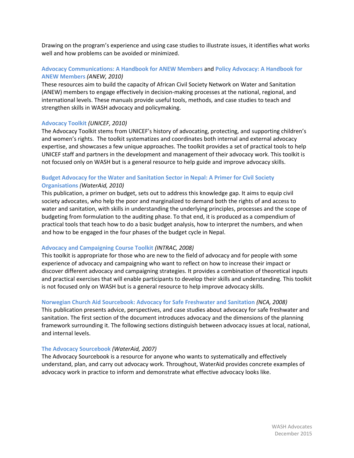Drawing on the program's experience and using case studies to illustrate issues, it identifies what works well and how problems can be avoided or minimized.

### **[Advocacy Communications: A Handbook for ANEW Members](http://www.freshwateraction.net/content/advocacy-communications-handbook-anew-members)** and **[Policy Advocacy: A Handbook for](http://www.freshwateraction.net/sites/freshwateraction.net/files/ANEW_advocacy_training_manual.pdf)  [ANEW Members](http://www.freshwateraction.net/sites/freshwateraction.net/files/ANEW_advocacy_training_manual.pdf)** *(ANEW, 2010)*

These resources aim to build the capacity of African Civil Society Network on Water and Sanitation (ANEW) members to engage effectively in decision‐making processes at the national, regional, and international levels. These manuals provide useful tools, methods, and case studies to teach and strengthen skills in WASH advocacy and policymaking.

### **[Advocacy Toolkit](http://www.unicef.org/evaluation/files/Advocacy_Toolkit.pdf)** *(UNICEF, 2010)*

The Advocacy Toolkit stems from UNICEF's history of advocating, protecting, and supporting children's and women's rights. The toolkit systematizes and coordinates both internal and external advocacy expertise, and showcases a few unique approaches. The toolkit provides a set of practical tools to help UNICEF staff and partners in the development and management of their advocacy work. This toolkit is not focused only on WASH but is a general resource to help guide and improve advocacy skills.

### **[Budget Advocacy for the Water and Sanitation Sector in Nepal: A Primer for Civil Society](http://www.wateraid.org/~/media/Publications/water-sanitation-civil-society-organisation-nepal.pdf)**

### **[Organisations](http://www.wateraid.org/~/media/Publications/water-sanitation-civil-society-organisation-nepal.pdf)** *(WaterAid, 2010)*

This publication, a primer on budget, sets out to address this knowledge gap. It aims to equip civil society advocates, who help the poor and marginalized to demand both the rights of and access to water and sanitation, with skills in understanding the underlying principles, processes and the scope of budgeting from formulation to the auditing phase. To that end, it is produced as a compendium of practical tools that teach how to do a basic budget analysis, how to interpret the numbers, and when and how to be engaged in the four phases of the budget cycle in Nepal.

### **[Advocacy and Campaigning Course Toolkit](http://www.intrac.org/data/files/resources/629/INTRAC-Advocacy-and-Campaigning-Toolkit.pdf)** *(INTRAC, 2008)*

This toolkit is appropriate for those who are new to the field of advocacy and for people with some experience of advocacy and campaigning who want to reflect on how to increase their impact or discover different advocacy and campaigning strategies. It provides a combination of theoretical inputs and practical exercises that will enable participants to develop their skills and understanding. This toolkit is not focused only on WASH but is a general resource to help improve advocacy skills.

### **[Norwegian Church Aid Sourcebook: Advocacy for Safe Freshwater and Sanitation](https://www.kirkensnodhjelp.no/contentassets/c1403acd5da84d39a120090004899173/2008/advocacy-for-water.pdf)** *(NCA, 2008)*

This publication presents advice, perspectives, and case studies about advocacy for safe freshwater and sanitation. The first section of the document introduces advocacy and the dimensions of the planning framework surrounding it. The following sections distinguish between advocacy issues at local, national, and internal levels.

### **[The Advocacy Sourcebook](http://waterwiki.net/index.php?title=The_Advocacy_Sourcebook_-_WaterAid)** *(WaterAid, 2007)*

The Advocacy Sourcebook is a resource for anyone who wants to systematically and effectively understand, plan, and carry out advocacy work. Throughout, WaterAid provides concrete examples of advocacy work in practice to inform and demonstrate what effective advocacy looks like.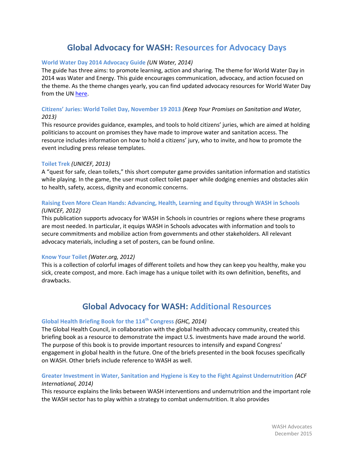# **Global Advocacy for WASH: Resources for Advocacy Days**

### **[World Water Day 2014 Advocacy Guide](http://www.unwater.org/fileadmin/user_upload/worldwaterday2014/documents/WWD2014_Advocacy_Guide_WEB.pdf)** *(UN Water, 2014)*

The guide has three aims: to promote learning, action and sharing. The theme for World Water Day in 2014 was Water and Energy. This guide encourages communication, advocacy, and action focused on the theme. As the theme changes yearly, you can find updated advocacy resources for World Water Day from the UN [here.](http://www.unwater.org/worldwaterday/tools/all/en/)

### **[Citizens' Juries: World Toilet Day, November 19 2013](http://www.endwaterpoverty.org/sites/endwaterpoverty.org/files/1708_End%20Water%20Poverty_CJ%20Toolkit%20ENGLISH%20FINAL.pdf)** *(Keep Your Promises on Sanitation and Water, 2013)*

This resource provides guidance, examples, and tools to hold citizens' juries, which are aimed at holding politicians to account on promises they have made to improve water and sanitation access. The resource includes information on how to hold a citizens' jury, who to invite, and how to promote the event including press release templates.

### **[Toilet Trek](http://www.unicef.org/toilets4all/)** *(UNICEF, 2013)*

A "quest for safe, clean toilets," this short computer game provides sanitation information and statistics while playing. In the game, the user must collect toilet paper while dodging enemies and obstacles akin to health, safety, access, dignity and economic concerns.

### **[Raising Even More Clean Hands: Advancing, Health, Learning and Equity through WASH in Schools](http://www.unicef.org/wash/schools/files/Raising_Even_More_Clean_Hands_Web_17_October_2012%281%29.pdf)** *(UNICEF, 2012)*

This publication supports advocacy for WASH in Schools in countries or regions where these programs are most needed. In particular, it equips WASH in Schools advocates with information and tools to secure commitments and mobilize action from governments and other stakeholders. All relevant advocacy materials, including a set of posters, can be found online.

### **[Know Your Toilet](http://water.org/toiletday/fieldguide/)** *(Water.org, 2012)*

This is a collection of colorful images of different toilets and how they can keep you healthy, make you sick, create compost, and more. Each image has a unique toilet with its own definition, benefits, and drawbacks.

### **Global Advocacy for WASH: Additional Resources**

### **[Global Health Briefing Book for the 114](http://ghbb.globalhealth.org/GHBBfull.pdf)th Congress** *(GHC, 2014)*

The Global Health Council, in collaboration with the global health advocacy community, created this briefing book as a resource to demonstrate the impact U.S. investments have made around the world. The purpose of this book is to provide important resources to intensify and expand Congress' engagement in global health in the future. One of the briefs presented in the book focuses specifically on WASH. Other briefs include reference to WASH as well.

### **[Greater Investment in Water, Sanitation and Hygiene is Key to the Fight Against Undernutrition](http://www.susana.org/_resources/documents/default/3-2131-7-1421231666.pdf)** *(ACF International, 2014)*

This resource explains the links between WASH interventions and undernutrition and the important role the WASH sector has to play within a strategy to combat undernutrition. It also provides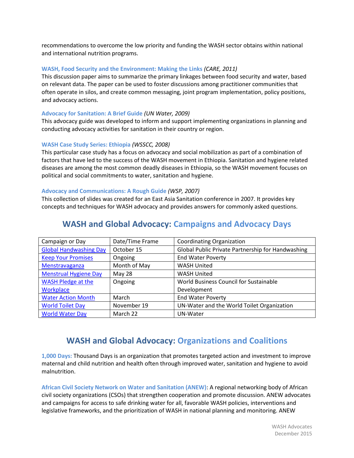recommendations to overcome the low priority and funding the WASH sector obtains within national and international nutrition programs.

### **[WASH, Food Security and the Environment: Making the Links](http://www.washplus.org/sites/default/files/wash_foodsecurity-keene.pdf)** *(CARE, 2011)*

This discussion paper aims to summarize the primary linkages between food security and water, based on relevant data. The paper can be used to foster discussions among practitioner communities that often operate in silos, and create common messaging, joint program implementation, policy positions, and advocacy actions.

### **[Advocacy for Sanitation: A Brief Guide](http://www.sswm.info/sites/default/files/reference_attachments/UN%20WATER%202009%20Advocacy%20Leaflet.pdf)** *(UN Water, 2009)*

This advocacy guide was developed to inform and support implementing organizations in planning and conducting advocacy activities for sanitation in their country or region.

### **[WASH Case Study Series: Ethiopia](http://www.gwp.org/Global/ToolBox/Case%20Studies/Africa/Ethiopia.%20WASH%20Movement%20for%20better%20sanitation%20and%20hygiene%20%28%23335%29.pdf)** *(WSSCC, 2008)*

This particular case study has a focus on advocacy and social mobilization as part of a combination of factors that have led to the success of the WASH movement in Ethiopia. Sanitation and hygiene related diseases are among the most common deadly diseases in Ethiopia, so the WASH movement focuses on political and social commitments to water, sanitation and hygiene.

### **[Advocacy and Communications: A Rough Guide](https://www.wsp.org/sites/wsp.org/files/workshop2advocacy.pdf)** *(WSP, 2007)*

This collection of slides was created for an East Asia Sanitation conference in 2007. It provides key concepts and techniques for WASH advocacy and provides answers for commonly asked questions.

| Campaign or Day               | Date/Time Frame | <b>Coordinating Organization</b>                  |
|-------------------------------|-----------------|---------------------------------------------------|
| <b>Global Handwashing Day</b> | October 15      | Global Public Private Partnership for Handwashing |
| <b>Keep Your Promises</b>     | Ongoing         | <b>End Water Poverty</b>                          |
| Menstravaganza                | Month of May    | <b>WASH United</b>                                |
| <b>Menstrual Hygiene Day</b>  | <b>May 28</b>   | <b>WASH United</b>                                |
| <b>WASH Pledge at the</b>     | Ongoing         | World Business Council for Sustainable            |
| Workplace                     |                 | Development                                       |
| <b>Water Action Month</b>     | March           | <b>End Water Poverty</b>                          |
| <b>World Toilet Day</b>       | November 19     | UN-Water and the World Toilet Organization        |
| <b>World Water Day</b>        | March 22        | UN-Water                                          |

### **WASH and Global Advocacy: Campaigns and Advocacy Days**

### **WASH and Global Advocacy: Organizations and Coalitions**

**[1,000 Days:](http://www.thousanddays.org/resources/water-sanitation-hygiene/)** Thousand Days is an organization that promotes targeted action and investment to improve maternal and child nutrition and health often through improved water, sanitation and hygiene to avoid malnutrition.

**[African Civil Society Network on Water and Sanitation \(ANEW\)](http://www.freshwateraction.net/content/african-civil-society-network-water-and-sanitation-anew)**: A regional networking body of African civil society organizations (CSOs) that strengthen cooperation and promote discussion. ANEW advocates and campaigns for access to safe drinking water for all, favorable WASH policies, interventions and legislative frameworks, and the prioritization of WASH in national planning and monitoring. ANEW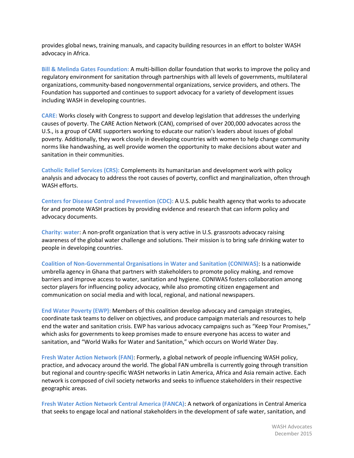provides global news, training manuals, and capacity building resources in an effort to bolster WASH advocacy in Africa.

**[Bill & Melinda Gates Foundation:](http://www.gatesfoundation.org/What-We-Do/Global-Development/Water-Sanitation-and-Hygiene)** A multi-billion dollar foundation that works to improve the policy and regulatory environment for sanitation through partnerships with all levels of governments, multilateral organizations, community-based nongovernmental organizations, service providers, and others. The Foundation has supported and continues to support advocacy for a variety of development issues including WASH in developing countries.

**[CARE:](http://www.care.org/work/advocacy)** Works closely with Congress to support and develop legislation that addresses the underlying causes of poverty. The CARE Action Network (CAN), comprised of over 200,000 advocates across the U.S., is a group of CARE supporters working to educate our nation's leaders about issues of global poverty. Additionally, they work closely in developing countries with women to help change community norms like handwashing, as well provide women the opportunity to make decisions about water and sanitation in their communities.

**[Catholic Relief Services](http://www.crs.org/public-policy/) (CRS):** Complements its humanitarian and development work with policy analysis and advocacy to address the root causes of poverty, conflict and marginalization, often through WASH efforts.

**[Centers for Disease Control and Prevention](http://www.cdc.gov/healthywater/global/policy.html) (CDC):** A U.S. public health agency that works to advocate for and promote WASH practices by providing evidence and research that can inform policy and advocacy documents.

**[Charity: water](http://www.charitywater.org/about/mission.php)**: A non-profit organization that is very active in U.S. grassroots advocacy raising awareness of the global water challenge and solutions. Their mission is to bring safe drinking water to people in developing countries.

**[Coalition of Non-Governmental Organisations in Water and Sanitation \(CONIWAS\)](https://coniwas.wordpress.com/about/)**: Is a nationwide umbrella agency in Ghana that partners with stakeholders to promote policy making, and remove barriers and improve access to water, sanitation and hygiene. CONIWAS fosters collaboration among sector players for influencing policy advocacy, while also promoting citizen engagement and communication on social media and with local, regional, and national newspapers.

**[End Water Poverty \(EWP\):](http://www.endwaterpoverty.org/about-ewp)** Members of this coalition develop advocacy and campaign strategies, coordinate task teams to deliver on objectives, and produce campaign materials and resources to help end the water and sanitation crisis. EWP has various advocacy campaigns such as "Keep Your Promises," which asks for governments to keep promises made to ensure everyone has access to water and sanitation, and "World Walks for Water and Sanitation," which occurs on World Water Day.

**[Fresh Water Action Network \(FAN\)](http://www.freshwateraction.net/content/about-us-0)**: Formerly, a global network of people influencing WASH policy, practice, and advocacy around the world. The global FAN umbrella is currently going through transition but regional and country-specific WASH networks in Latin America, Africa and Asia remain active. Each network is composed of civil society networks and seeks to influence stakeholders in their respective geographic areas.

**[Fresh Water Action Network Central America \(FANCA\)](http://www.iied-al.org.ar/fanas/objetivos.html)**: A network of organizations in Central America that seeks to engage local and national stakeholders in the development of safe water, sanitation, and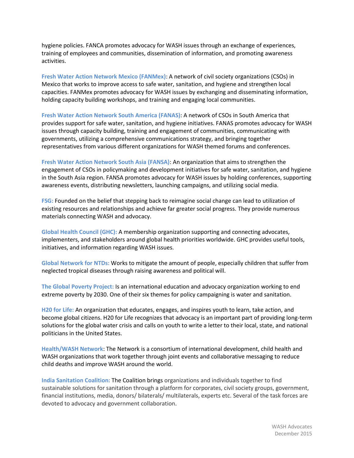hygiene policies. FANCA promotes advocacy for WASH issues through an exchange of experiences, training of employees and communities, dissemination of information, and promoting awareness activities.

**[Fresh Water Action Network Mexico \(FANMex\)](http://www.fanmexico.net/es/content/misi%C3%B3n-visi%C3%B3n-objetivos-y-principios)**: A network of civil society organizations (CSOs) in Mexico that works to improve access to safe water, sanitation, and hygiene and strengthen local capacities. FANMex promotes advocacy for WASH issues by exchanging and disseminating information, holding capacity building workshops, and training and engaging local communities.

**[Fresh Water Action Network South America \(FANAS\)](http://www.iied-al.org.ar/fanas/objetivos.html)**: A network of CSOs in South America that provides support for safe water, sanitation, and hygiene initiatives. FANAS promotes advocacy for WASH issues through capacity building, training and engagement of communities, communicating with governments, utilizing a comprehensive communications strategy, and bringing together representatives from various different organizations for WASH themed forums and conferences.

**[Fresh Water Action Network South Asia \(FANSA\)](http://www.freshwateraction.net/content/about-fansa)**: An organization that aims to strengthen the engagement of CSOs in policymaking and development initiatives for safe water, sanitation, and hygiene in the South Asia region. FANSA promotes advocacy for WASH issues by holding conferences, supporting awareness events, distributing newsletters, launching campaigns, and utilizing social media.

**[FSG:](http://www.fsg.org/OurApproach/Overview.aspx)** Founded on the belief that stepping back to reimagine social change can lead to utilization of existing resources and relationships and achieve far greater social progress. They provide numerous materials connecting WASH and advocacy.

**[Global Health Council \(GHC\):](http://globalhealth.org/about-us/mission-and-vision/)** A membership organization supporting and connecting advocates, implementers, and stakeholders around global health priorities worldwide. GHC provides useful tools, initiatives, and information regarding WASH issues.

**[Global Network for NTDs:](http://www.globalnetwork.org/about)** Works to mitigate the amount of people, especially children that suffer from neglected tropical diseases through raising awareness and political will.

**[The Global Poverty Project:](http://www.globalpovertyproject.com/about-us/)** Is an international education and advocacy organization working to end extreme poverty by 2030. One of their six themes for policy campaigning is water and sanitation.

**[H20 for Life:](http://www.h2oforlifeschools.org/index.php/resources/advocacy)** An organization that educates, engages, and inspires youth to learn, take action, and become global citizens. H20 for Life recognizes that advocacy is an important part of providing long-term solutions for the global water crisis and calls on youth to write a letter to their local, state, and national politicians in the United States.

**[Health/WASH Network](http://www.defeatdd.org/resources/healthwash-network)**: The Network is a consortium of international development, child health and WASH organizations that work together through joint events and collaborative messaging to reduce child deaths and improve WASH around the world.

**[India Sanitation Coalition:](http://indiasanitationcoalition.org/index.html)** The Coalition brings organizations and individuals together to find sustainable solutions for sanitation through a platform for corporates, civil society groups, government, financial institutions, media, donors/ bilaterals/ multilaterals, experts etc. Several of the task forces are devoted to advocacy and government collaboration.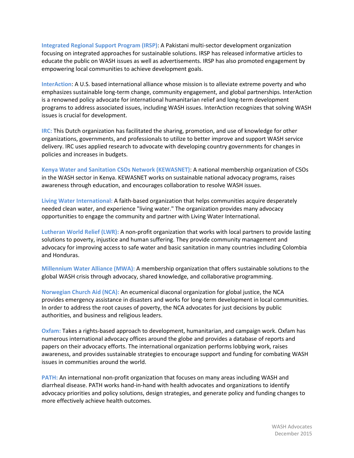**[Integrated Regional Support Program \(IRSP\)](http://irsp.org.pk/about-2/)**: A Pakistani multi-sector development organization focusing on integrated approaches for sustainable solutions. IRSP has released informative articles to educate the public on WASH issues as well as advertisements. IRSP has also promoted engagement by empowering local communities to achieve development goals.

**[InterAction](http://www.interaction.org/work/advocacy)**: A U.S. based international alliance whose mission is to alleviate extreme poverty and who emphasizes sustainable long-term change, community engagement, and global partnerships. InterAction is a renowned policy advocate for international humanitarian relief and long-term development programs to address associated issues, including WASH issues. InterAction recognizes that solving WASH issues is crucial for development.

**[IRC:](http://www.ircwash.org/topics/irc-whole-system-approach)** This Dutch organization has facilitated the sharing, promotion, and use of knowledge for other organizations, governments, and professionals to utilize to better improve and support WASH service delivery. IRC uses applied research to advocate with developing country governments for changes in policies and increases in budgets.

**[Kenya Water and Sanitation CSOs Network \(KEWASNET\)](http://www.kewasnet.org/index.php/layout/our-place-our-role)**: A national membership organization of CSOs in the WASH sector in Kenya. KEWASNET works on sustainable national advocacy programs, raises awareness through education, and encourages collaboration to resolve WASH issues.

**[Living Water International:](http://www.water.cc/dosomething)** A faith-based organization that helps communities acquire desperately needed clean water, and experience "living water." The organization provides many advocacy opportunities to engage the community and partner with Living Water International.

**[Lutheran World Relief](http://programs.lwr.org/latinamerica/colombia/wateraccess) (LWR):** A non-profit organization that works with local partners to provide lasting solutions to poverty, injustice and human suffering. They provide community management and advocacy for improving access to safe water and basic sanitation in many countries including Colombia and Honduras.

**[Millennium Water Alliance](http://www.mwawater.org.php53-6.dfw1-2.websitetestlink.com/advocacy/wash-the-big-picture/) (MWA):** A membership organization that offers sustainable solutions to the global WASH crisis through advocacy, shared knowledge, and collaborative programming.

**[Norwegian Church Aid \(NCA\):](https://www.kirkensnodhjelp.no/en/about-nca/)** An ecumenical diaconal organization for global justice, the NCA provides emergency assistance in disasters and works for long-term development in local communities. In order to address the root causes of poverty, the NCA advocates for just decisions by public authorities, and business and religious leaders.

**[Oxfam:](https://www.oxfam.org/en/offices)** Takes a rights-based approach to development, humanitarian, and campaign work. Oxfam has numerous international advocacy offices around the globe and provides a database of reports and papers on their advocacy efforts. The international organization performs lobbying work, raises awareness, and provides sustainable strategies to encourage support and funding for combating WASH issues in communities around the world.

**[PATH:](http://www.path.org/)** An international non-profit organization that focuses on many areas including WASH and diarrheal disease. PATH works hand-in-hand with health advocates and organizations to identify advocacy priorities and policy solutions, design strategies, and generate policy and funding changes to more effectively achieve health outcomes.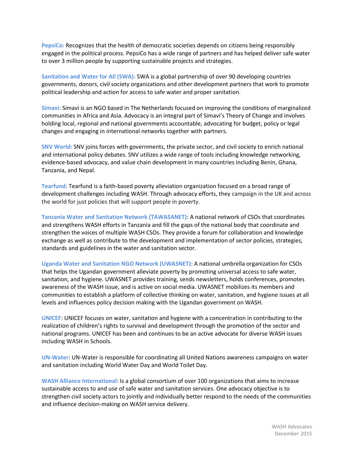**[PepsiCo:](http://www.pepsico.com/Purpose/Environmental-Sustainability/Water)** Recognizes that the health of democratic societies depends on citizens being responsibly engaged in the political process. PepsiCo has a wide range of partners and has helped deliver safe water to over 3 million people by supporting sustainable projects and strategies.

**[Sanitation and Water for All](http://sanitationandwaterforall.org/) (SWA):** SWA is a global partnership of over 90 developing countries governments, donors, civil society organizations and other development partners that work to promote political leadership and action for access to safe water and proper sanitation.

**[Simavi:](http://simavi.org/thinking/advocacy/)** Simavi is an NGO based in The Netherlands focused on improving the conditions of marginalized communities in Africa and Asia. Advocacy is an integral part of Simavi's Theory of Change and involves holding local, regional and national governments accountable, advocating for budget, policy or legal changes and engaging in international networks together with partners.

**[SNV World:](http://www.snvworld.org/en/regions/world/our-work/services/evidence-based-advocacy)** SNV joins forces with governments, the private sector, and civil society to enrich national and international policy debates. SNV utilizes a wide range of tools including knowledge networking, evidence-based advocacy, and value chain development in many countries including Benin, Ghana, Tanzania, and Nepal.

**[Tearfund:](http://tilz.tearfund.org/en/resources/policy_and_research/water_and_sanitation/)** Tearfund is a faith-based poverty alleviation organization focused on a broad range of development challenges including WASH. Through advocacy efforts, they campaign in the UK and across the world for just policies that will support people in poverty.

**[Tanzania Water and Sanitation Network \(TAWASANET\)](http://www.tawasanet.or.tz/about.php?p=129)**: A national network of CSOs that coordinates and strengthens WASH efforts in Tanzania and fill the gaps of the national body that coordinate and strengthen the voices of multiple WASH CSOs. They provide a forum for collaboration and knowledge exchange as well as contribute to the development and implementation of sector policies, strategies, standards and guidelines in the water and sanitation sector.

**[Uganda Water and Sanitation NGO Network \(UWASNET\)](http://www.uwasnet.org/Elgg/objectives-and-mandate/)**: A national umbrella organization for CSOs that helps the Ugandan government alleviate poverty by promoting universal access to safe water, sanitation, and hygiene. UWASNET provides training, sends newsletters, holds conferences, promotes awareness of the WASH issue, and is active on social media. UWASNET mobilizes its members and communities to establish a platform of collective thinking on water, sanitation, and hygiene issues at all levels and influences policy decision making with the Ugandan government on WASH.

**[UNICEF](http://www.unicef.org/wash/index_43084.html)**: UNICEF focuses on water, sanitation and hygiene with a concentration in contributing to the realization of children's rights to survival and development through the promotion of the sector and national programs. UNICEF has been and continues to be an active advocate for diverse WASH issues including WASH in Schools.

**[UN-Water](http://www.unicef.org/wash/index_43084.html)**: UN-Water is responsible for coordinating all United Nations awareness campaigns on water and sanitation including World Water Day and World Toilet Day.

**[WASH Alliance](http://www.washalliance.nl/) International**: Is a global consortium of over 100 organizations that aims to increase sustainable access to and use of safe water and sanitation services. One advocacy objective is to strengthen civil society actors to jointly and individually better respond to the needs of the communities and influence decision-making on WASH service delivery.